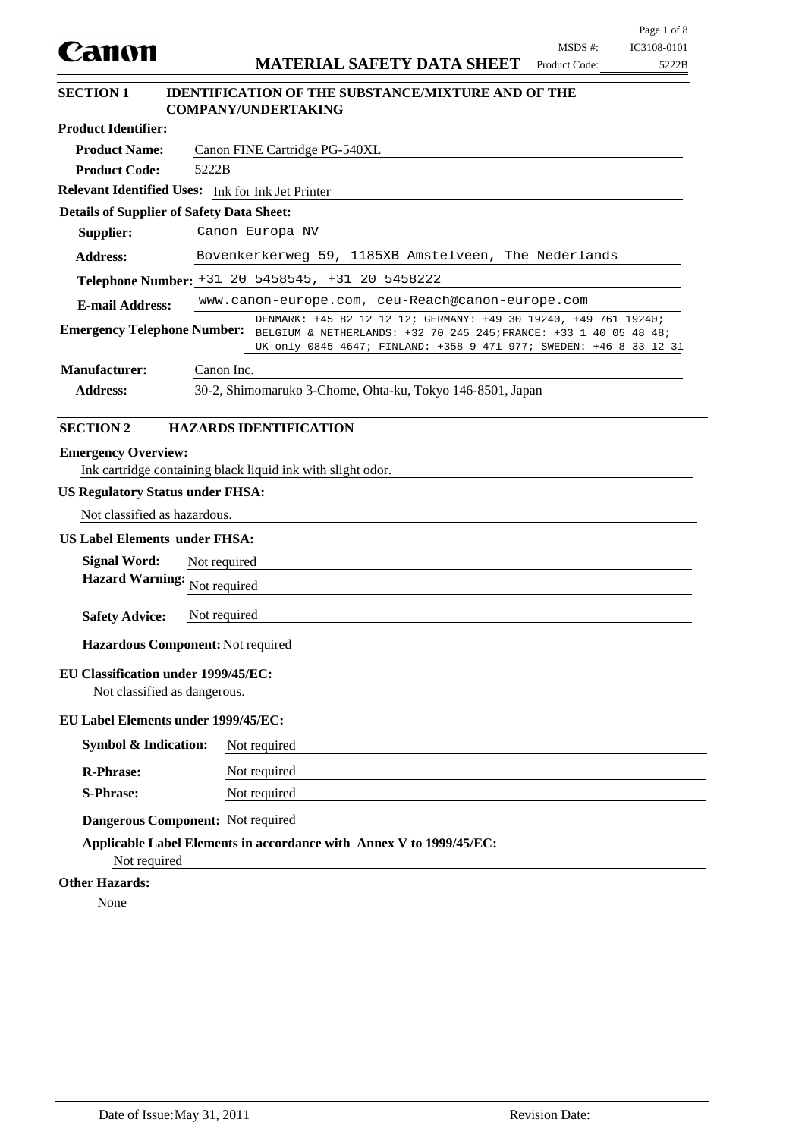|                                                                     |              |                                                                                                                                                                                                                                        | $MSDS$ #:     | Page 1 of 8<br>IC3108-0101 |
|---------------------------------------------------------------------|--------------|----------------------------------------------------------------------------------------------------------------------------------------------------------------------------------------------------------------------------------------|---------------|----------------------------|
| Canon                                                               |              | <b>MATERIAL SAFETY DATA SHEET</b>                                                                                                                                                                                                      | Product Code: | 5222B                      |
| <b>SECTION 1</b>                                                    |              | <b>IDENTIFICATION OF THE SUBSTANCE/MIXTURE AND OF THE</b><br><b>COMPANY/UNDERTAKING</b>                                                                                                                                                |               |                            |
| <b>Product Identifier:</b>                                          |              |                                                                                                                                                                                                                                        |               |                            |
| <b>Product Name:</b>                                                |              | Canon FINE Cartridge PG-540XL                                                                                                                                                                                                          |               |                            |
| <b>Product Code:</b>                                                | 5222B        |                                                                                                                                                                                                                                        |               |                            |
| Relevant Identified Uses: Ink for Ink Jet Printer                   |              |                                                                                                                                                                                                                                        |               |                            |
| <b>Details of Supplier of Safety Data Sheet:</b>                    |              |                                                                                                                                                                                                                                        |               |                            |
| Supplier:                                                           |              | Canon Europa NV                                                                                                                                                                                                                        |               |                            |
| <b>Address:</b>                                                     |              | Bovenkerkerweg 59, 1185XB Amstelveen, The Nederlands                                                                                                                                                                                   |               |                            |
|                                                                     |              | Telephone Number: +31 20 5458545, +31 20 5458222                                                                                                                                                                                       |               |                            |
| <b>E-mail Address:</b>                                              |              | www.canon-europe.com, ceu-Reach@canon-europe.com                                                                                                                                                                                       |               |                            |
|                                                                     |              | DENMARK: +45 82 12 12 12; GERMANY: +49 30 19240, +49 761 19240;<br>Emergency Telephone Number: BELGIUM & NETHERLANDS: +32 70 245 245; FRANCE: +33 1 40 05 48 48;<br>UK only 0845 4647; FINLAND: +358 9 471 977; SWEDEN: +46 8 33 12 31 |               |                            |
| <b>Manufacturer:</b>                                                | Canon Inc.   |                                                                                                                                                                                                                                        |               |                            |
| <b>Address:</b>                                                     |              | 30-2, Shimomaruko 3-Chome, Ohta-ku, Tokyo 146-8501, Japan                                                                                                                                                                              |               |                            |
|                                                                     |              |                                                                                                                                                                                                                                        |               |                            |
| <b>SECTION 2</b>                                                    |              | <b>HAZARDS IDENTIFICATION</b>                                                                                                                                                                                                          |               |                            |
| <b>Emergency Overview:</b>                                          |              | Ink cartridge containing black liquid ink with slight odor.                                                                                                                                                                            |               |                            |
| <b>US Regulatory Status under FHSA:</b>                             |              |                                                                                                                                                                                                                                        |               |                            |
| Not classified as hazardous.                                        |              |                                                                                                                                                                                                                                        |               |                            |
| <b>US Label Elements under FHSA:</b>                                |              |                                                                                                                                                                                                                                        |               |                            |
| <b>Signal Word:</b>                                                 | Not required |                                                                                                                                                                                                                                        |               |                            |
| <b>Hazard Warning:</b>                                              | Not required |                                                                                                                                                                                                                                        |               |                            |
|                                                                     |              |                                                                                                                                                                                                                                        |               |                            |
| <b>Safety Advice:</b>                                               | Not required |                                                                                                                                                                                                                                        |               |                            |
| Hazardous Component: Not required                                   |              |                                                                                                                                                                                                                                        |               |                            |
| EU Classification under 1999/45/EC:<br>Not classified as dangerous. |              |                                                                                                                                                                                                                                        |               |                            |
| EU Label Elements under 1999/45/EC:                                 |              |                                                                                                                                                                                                                                        |               |                            |
| <b>Symbol &amp; Indication:</b>                                     |              | Not required                                                                                                                                                                                                                           |               |                            |
| <b>R-Phrase:</b>                                                    |              | Not required                                                                                                                                                                                                                           |               |                            |
| <b>S-Phrase:</b>                                                    |              | Not required                                                                                                                                                                                                                           |               |                            |
| Dangerous Component: Not required                                   |              |                                                                                                                                                                                                                                        |               |                            |
| Not required                                                        |              | Applicable Label Elements in accordance with Annex V to 1999/45/EC:                                                                                                                                                                    |               |                            |
| <b>Other Hazards:</b>                                               |              |                                                                                                                                                                                                                                        |               |                            |
| None                                                                |              |                                                                                                                                                                                                                                        |               |                            |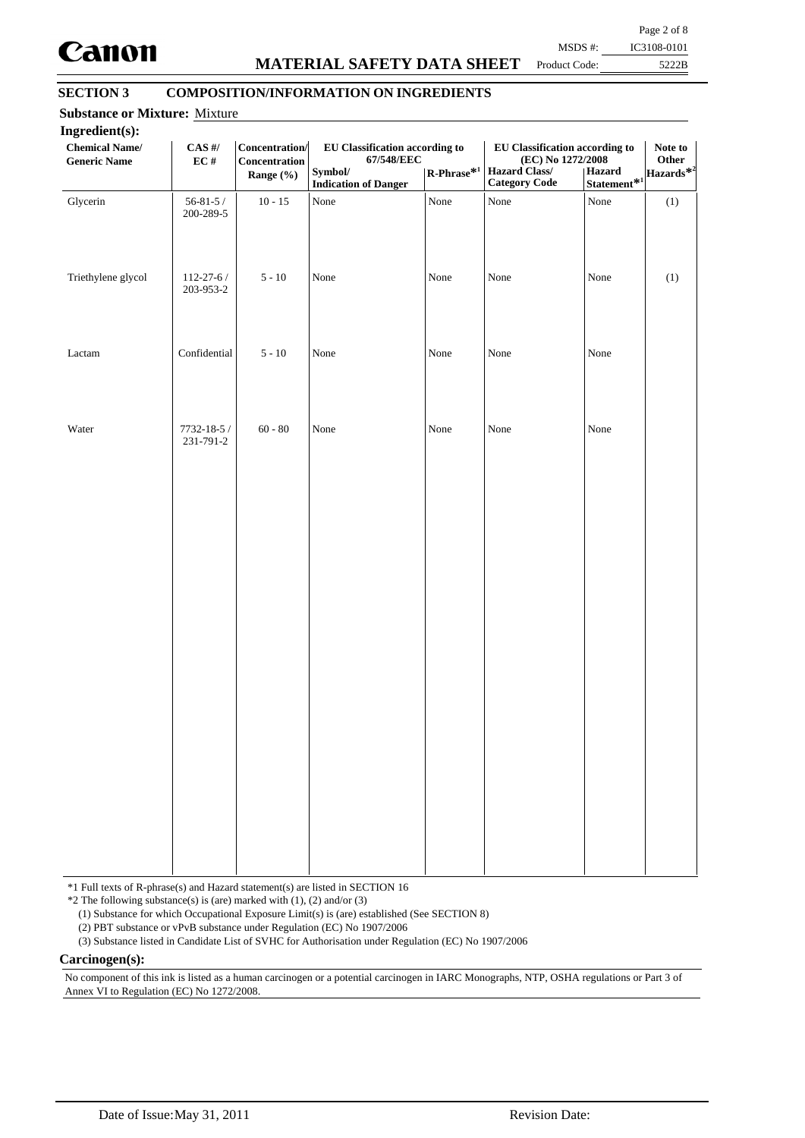

# **MATERIAL SAFETY DATA SHEET**

Page 2 of 8 MSDS #: IC3108-0101

Product Code:

5222B

## **SECTION 3 COMPOSITION/INFORMATION ON INGREDIENTS**

| Ingredient(s):<br><b>Chemical Name/</b><br><b>Generic Name</b> | $\mathbf{CAS}$ #/<br>$\mathbf{EC} \ \#$ | Concentration/<br>Concentration<br>Range (%) | EU Classification according to<br>67/548/EEC<br>Symbol/<br><b>Indication of Danger</b> | $\mathbf{R}\text{-Phrase}^{*1}$ | <b>EU Classification according to</b><br>(EC) No 1272/2008<br>Hazard Class/<br><b>Category Code</b> | Hazard<br>$Statement*1$ | Note to<br>Other<br>Hazards <sup>*2</sup> |
|----------------------------------------------------------------|-----------------------------------------|----------------------------------------------|----------------------------------------------------------------------------------------|---------------------------------|-----------------------------------------------------------------------------------------------------|-------------------------|-------------------------------------------|
| Glycerin                                                       | $56 - 81 - 5/$<br>200-289-5             | $10 - 15$                                    | None                                                                                   | None                            | None                                                                                                | None                    | (1)                                       |
| Triethylene glycol                                             | $112 - 27 - 6/$<br>203-953-2            | $5 - 10$                                     | None                                                                                   | None                            | None                                                                                                | None                    | (1)                                       |
| Lactam                                                         | Confidential                            | $5 - 10$                                     | None                                                                                   | None                            | None                                                                                                | None                    |                                           |
| Water                                                          | $7732 - 18 - 5/$<br>231-791-2           | $60 - 80$                                    | None                                                                                   | None                            | None                                                                                                | None                    |                                           |
|                                                                |                                         |                                              |                                                                                        |                                 |                                                                                                     |                         |                                           |
|                                                                |                                         |                                              |                                                                                        |                                 |                                                                                                     |                         |                                           |
|                                                                |                                         |                                              |                                                                                        |                                 |                                                                                                     |                         |                                           |
|                                                                |                                         |                                              |                                                                                        |                                 |                                                                                                     |                         |                                           |
|                                                                |                                         |                                              |                                                                                        |                                 |                                                                                                     |                         |                                           |

\*1 Full texts of R-phrase(s) and Hazard statement(s) are listed in SECTION 16

 $*2$  The following substance(s) is (are) marked with (1), (2) and/or (3)

(1) Substance for which Occupational Exposure Limit(s) is (are) established (See SECTION 8)

(2) PBT substance or vPvB substance under Regulation (EC) No 1907/2006

(3) Substance listed in Candidate List of SVHC for Authorisation under Regulation (EC) No 1907/2006

**Carcinogen(s):**

No component of this ink is listed as a human carcinogen or a potential carcinogen in IARC Monographs, NTP, OSHA regulations or Part 3 of Annex VI to Regulation (EC) No 1272/2008.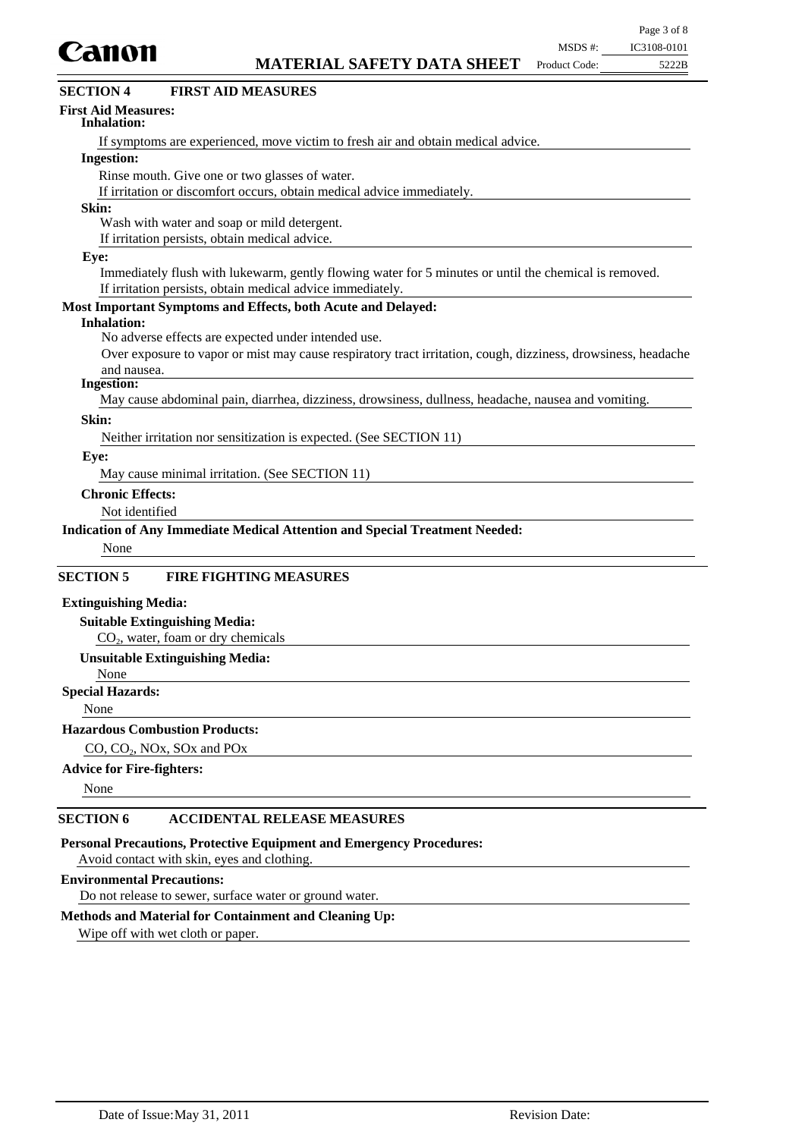

| CAIIVII<br><b>MATERIAL SAFETY DATA SHEET</b><br>Product Code:<br>5222B                                        |
|---------------------------------------------------------------------------------------------------------------|
| <b>SECTION 4</b><br><b>FIRST AID MEASURES</b>                                                                 |
| <b>First Aid Measures:</b><br>Inhalation:                                                                     |
| If symptoms are experienced, move victim to fresh air and obtain medical advice.                              |
| <b>Ingestion:</b>                                                                                             |
| Rinse mouth. Give one or two glasses of water.                                                                |
| If irritation or discomfort occurs, obtain medical advice immediately.                                        |
| Skin:                                                                                                         |
| Wash with water and soap or mild detergent.                                                                   |
| If irritation persists, obtain medical advice.                                                                |
| Eye:                                                                                                          |
| Immediately flush with lukewarm, gently flowing water for 5 minutes or until the chemical is removed.         |
| If irritation persists, obtain medical advice immediately.                                                    |
| Most Important Symptoms and Effects, both Acute and Delayed:                                                  |
| <b>Inhalation:</b>                                                                                            |
| No adverse effects are expected under intended use.                                                           |
| Over exposure to vapor or mist may cause respiratory tract irritation, cough, dizziness, drowsiness, headache |
| and nausea.                                                                                                   |
| <b>Ingestion:</b>                                                                                             |
| May cause abdominal pain, diarrhea, dizziness, drowsiness, dullness, headache, nausea and vomiting.           |
| Skin:                                                                                                         |
| Neither irritation nor sensitization is expected. (See SECTION 11)                                            |
| Eye:                                                                                                          |
| May cause minimal irritation. (See SECTION 11)                                                                |
| <b>Chronic Effects:</b>                                                                                       |
| Not identified                                                                                                |
| <b>Indication of Any Immediate Medical Attention and Special Treatment Needed:</b>                            |
| None                                                                                                          |
|                                                                                                               |
| <b>SECTION 5</b><br><b>FIRE FIGHTING MEASURES</b>                                                             |
| <b>Extinguishing Media:</b>                                                                                   |
| <b>Suitable Extinguishing Media:</b>                                                                          |
| $CO2$ , water, foam or dry chemicals                                                                          |
| <b>Unsuitable Extinguishing Media:</b>                                                                        |
| None                                                                                                          |
| <b>Special Hazards:</b>                                                                                       |
| None                                                                                                          |
| <b>Hazardous Combustion Products:</b>                                                                         |
| $CO$ , $CO2$ , NOx, SOx and POx                                                                               |
|                                                                                                               |

## **Advice for Fire-fighters:**

None

#### **SECTION 6 ACCIDENTAL RELEASE MEASURES**

**Personal Precautions, Protective Equipment and Emergency Procedures:**

Avoid contact with skin, eyes and clothing.

#### **Environmental Precautions:**

Do not release to sewer, surface water or ground water.

### **Methods and Material for Containment and Cleaning Up:**

Wipe off with wet cloth or paper.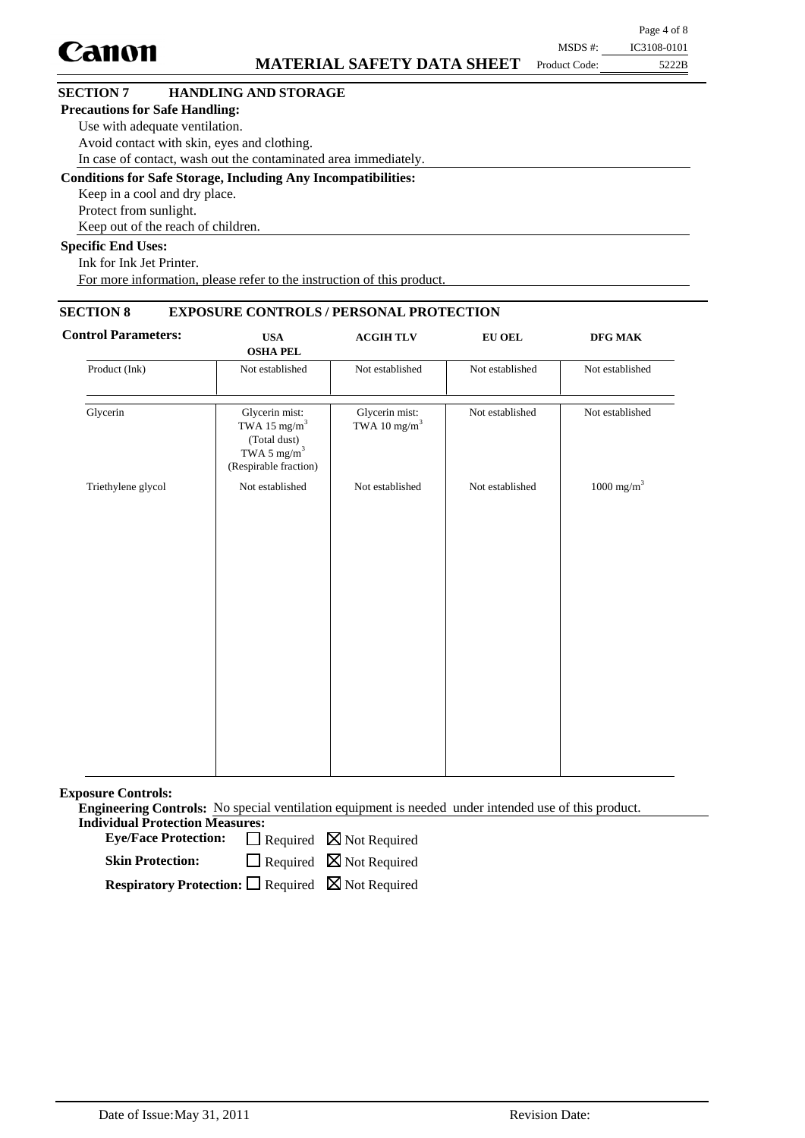|                                                                      |               | Page 4 of 8 |
|----------------------------------------------------------------------|---------------|-------------|
| Canon                                                                | MSDS #:       | IC3108-0101 |
| <b>MATERIAL SAFETY DATA SHEET</b>                                    | Product Code: | 5222B       |
| <b>SECTION 7</b><br><b>HANDLING AND STORAGE</b>                      |               |             |
| <b>Precautions for Safe Handling:</b>                                |               |             |
| Use with adequate ventilation.                                       |               |             |
| Avoid contact with skin, eyes and clothing.                          |               |             |
| In case of contact, wash out the contaminated area immediately.      |               |             |
| <b>Conditions for Safe Storage, Including Any Incompatibilities:</b> |               |             |
| Keep in a cool and dry place.                                        |               |             |
| Protect from sunlight.                                               |               |             |
| Keep out of the reach of children.                                   |               |             |

#### **Specific End Uses:**

Ink for Ink Jet Printer. For more information, please refer to the instruction of this product.

## **SECTION 8 EXPOSURE CONTROLS / PERSONAL PROTECTION**

| DFG MAK                  | <b>EU OEL</b>   | <b>ACGIH TLV</b>                           | <b>USA</b><br><b>OSHA PEL</b>                                                                                  | <b>Control Parameters:</b> |
|--------------------------|-----------------|--------------------------------------------|----------------------------------------------------------------------------------------------------------------|----------------------------|
| Not established          | Not established | Not established                            | Not established                                                                                                | Product (Ink)              |
| Not established          | Not established | Glycerin mist:<br>TWA 10 mg/m <sup>3</sup> | Glycerin mist:<br>TWA 15 mg/m <sup>3</sup><br>(Total dust)<br>TWA 5 $\mathrm{mg/m}^3$<br>(Respirable fraction) | Glycerin                   |
| $1000$ mg/m <sup>3</sup> | Not established | Not established                            | Not established                                                                                                | Triethylene glycol         |
|                          |                 |                                            |                                                                                                                |                            |
|                          |                 |                                            |                                                                                                                |                            |

**Exposure Controls:**

**Engineering Controls:** No special ventilation equipment is needed under intended use of this product. **Individual Protection Measures:**

Eye/Face Protection:  $\Box$  Required  $\boxtimes$  Not Required

Required **N** Not Required **Skin Protection:**

**Respiratory Protection:** □ Required ⊠ Not Required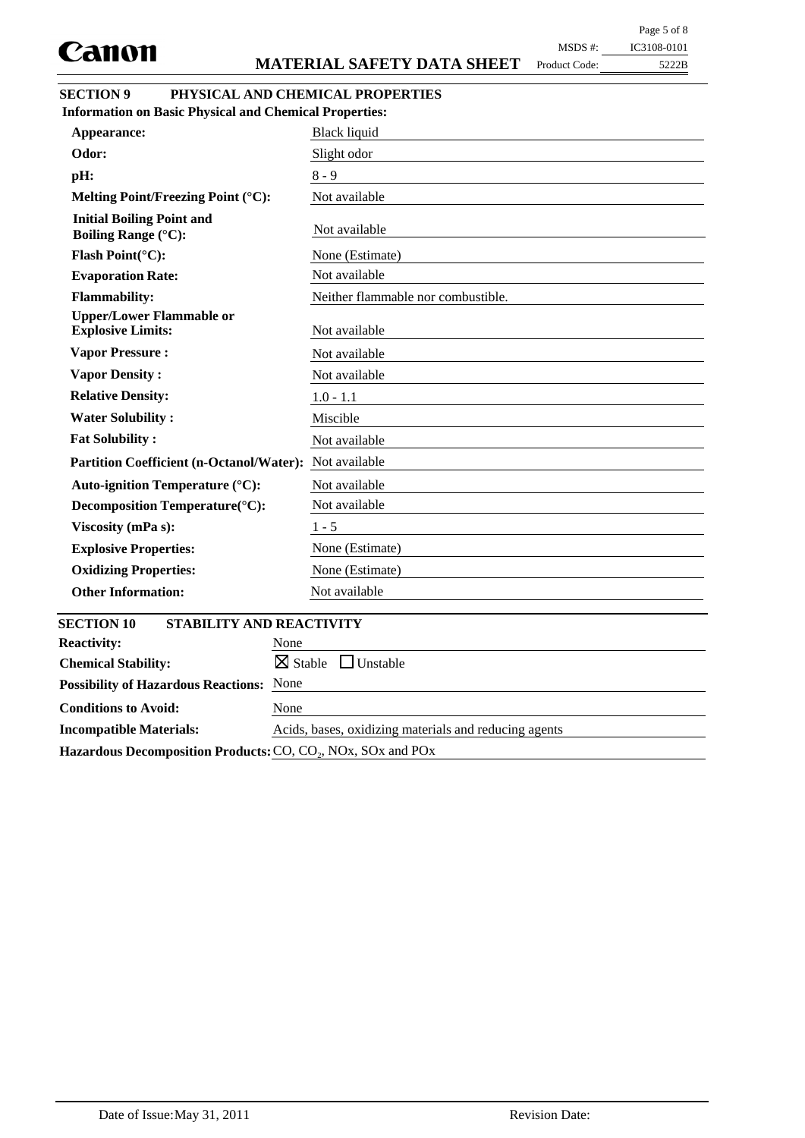Product Code:

| MSDS #: | IC3108-0101 |
|---------|-------------|
|         |             |

5222B

| <b>Information on Basic Physical and Chemical Properties:</b>                      |                                    |
|------------------------------------------------------------------------------------|------------------------------------|
| Appearance:                                                                        | <b>Black liquid</b>                |
| Odor:                                                                              | Slight odor                        |
| pH:                                                                                | $8 - 9$                            |
| Melting Point/Freezing Point (°C):                                                 | Not available                      |
| <b>Initial Boiling Point and</b><br><b>Boiling Range (°C):</b>                     | Not available                      |
| Flash Point(°C):                                                                   | None (Estimate)                    |
| <b>Evaporation Rate:</b>                                                           | Not available                      |
| <b>Flammability:</b>                                                               | Neither flammable nor combustible. |
| <b>Upper/Lower Flammable or</b><br><b>Explosive Limits:</b>                        | Not available                      |
| <b>Vapor Pressure:</b>                                                             | Not available                      |
| <b>Vapor Density:</b>                                                              | Not available                      |
| <b>Relative Density:</b>                                                           | $1.0 - 1.1$                        |
| <b>Water Solubility:</b>                                                           | Miscible                           |
| <b>Fat Solubility:</b>                                                             | Not available                      |
| <b>Partition Coefficient (n-Octanol/Water):</b>                                    | Not available                      |
| Auto-ignition Temperature (°C):                                                    | Not available                      |
| Decomposition Temperature(°C):                                                     | Not available                      |
| Viscosity (mPa s):                                                                 | $1 - 5$                            |
| <b>Explosive Properties:</b>                                                       | None (Estimate)                    |
| <b>Oxidizing Properties:</b>                                                       | None (Estimate)                    |
| <b>Other Information:</b>                                                          | Not available                      |
|                                                                                    |                                    |
| <b>SECTION 10</b><br><b>STABILITY AND REACTIVITY</b><br><b>Reactivity:</b><br>None |                                    |
| $\boxtimes$ Stable<br><b>Chemical Stability:</b>                                   | $\Box$ Unstable                    |
| <b>Possibility of Hazardous Reactions: None</b>                                    |                                    |
|                                                                                    |                                    |

Hazardous Decomposition Products: CO, CO<sub>2</sub>, NO<sub>x</sub>, SO<sub>x</sub> and PO<sub>x</sub>

**Incompatible Materials:** Acids, bases, oxidizing materials and reducing agents

**Conditions to Avoid:** None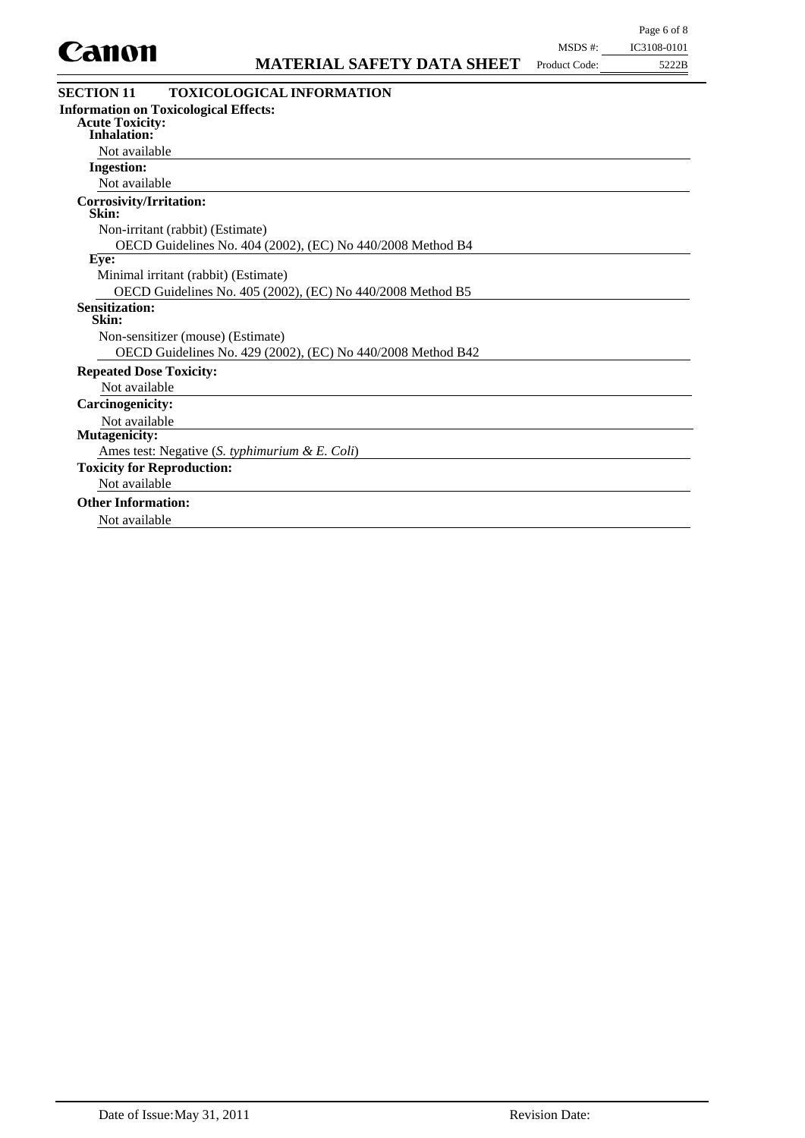

| <b>TOXICOLOGICAL INFORMATION</b><br><b>SECTION 11</b>       |
|-------------------------------------------------------------|
| <b>Information on Toxicological Effects:</b>                |
| <b>Acute Toxicity:</b>                                      |
| <b>Inhalation:</b>                                          |
| Not available                                               |
| <b>Ingestion:</b>                                           |
| Not available                                               |
| Corrosivity/Irritation:<br>Skin:                            |
| Non-irritant (rabbit) (Estimate)                            |
| OECD Guidelines No. 404 (2002), (EC) No 440/2008 Method B4  |
| Eye:                                                        |
| Minimal irritant (rabbit) (Estimate)                        |
| OECD Guidelines No. 405 (2002), (EC) No 440/2008 Method B5  |
| <b>Sensitization:</b><br>Skin:                              |
| Non-sensitizer (mouse) (Estimate)                           |
| OECD Guidelines No. 429 (2002), (EC) No 440/2008 Method B42 |
| <b>Repeated Dose Toxicity:</b>                              |
| Not available                                               |
| <b>Carcinogenicity:</b>                                     |
| Not available                                               |
| <b>Mutagenicity:</b>                                        |
| Ames test: Negative (S. typhimurium & E. Coli)              |
| <b>Toxicity for Reproduction:</b>                           |
| Not available                                               |
| <b>Other Information:</b>                                   |
| Not available                                               |
|                                                             |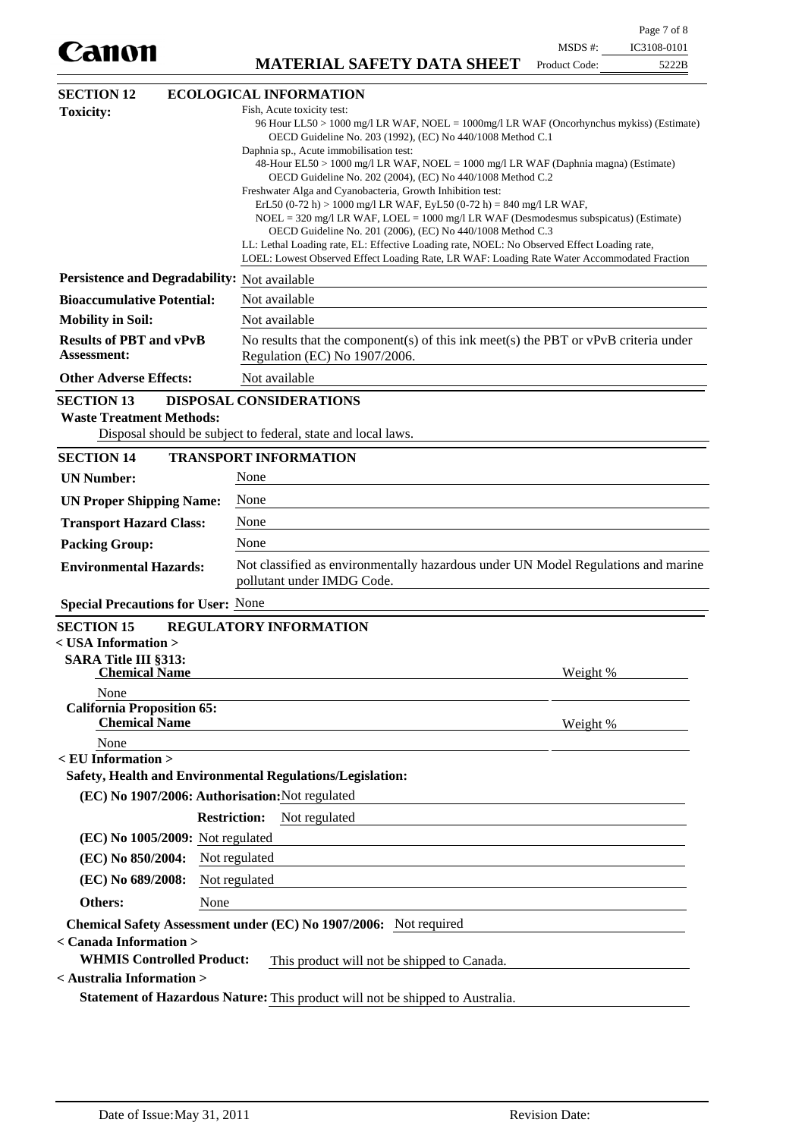**MATERIAL SAFETY DATA SHEET** Product Code:

 $5222B$ 

| <b>SECTION 12</b>                                                                                       |                     | <b>ECOLOGICAL INFORMATION</b>                                                                                                                                                                                                                                                                                                                                                                                                                                                                                                                                                                                                                                                                                                                                                                                                                                                    |          |  |  |
|---------------------------------------------------------------------------------------------------------|---------------------|----------------------------------------------------------------------------------------------------------------------------------------------------------------------------------------------------------------------------------------------------------------------------------------------------------------------------------------------------------------------------------------------------------------------------------------------------------------------------------------------------------------------------------------------------------------------------------------------------------------------------------------------------------------------------------------------------------------------------------------------------------------------------------------------------------------------------------------------------------------------------------|----------|--|--|
| <b>Toxicity:</b>                                                                                        |                     | Fish, Acute toxicity test:<br>96 Hour LL50 > 1000 mg/l LR WAF, NOEL = 1000mg/l LR WAF (Oncorhynchus mykiss) (Estimate)<br>OECD Guideline No. 203 (1992), (EC) No 440/1008 Method C.1<br>Daphnia sp., Acute immobilisation test:<br>48-Hour EL50 > 1000 mg/l LR WAF, NOEL = 1000 mg/l LR WAF (Daphnia magna) (Estimate)<br>OECD Guideline No. 202 (2004), (EC) No 440/1008 Method C.2<br>Freshwater Alga and Cyanobacteria, Growth Inhibition test:<br>ErL50 (0-72 h) > 1000 mg/l LR WAF, EyL50 (0-72 h) = 840 mg/l LR WAF,<br>$NOEL = 320$ mg/l LR WAF, LOEL = 1000 mg/l LR WAF (Desmodesmus subspicatus) (Estimate)<br>OECD Guideline No. 201 (2006), (EC) No 440/1008 Method C.3<br>LL: Lethal Loading rate, EL: Effective Loading rate, NOEL: No Observed Effect Loading rate,<br>LOEL: Lowest Observed Effect Loading Rate, LR WAF: Loading Rate Water Accommodated Fraction |          |  |  |
| Persistence and Degradability: Not available                                                            |                     |                                                                                                                                                                                                                                                                                                                                                                                                                                                                                                                                                                                                                                                                                                                                                                                                                                                                                  |          |  |  |
| <b>Bioaccumulative Potential:</b>                                                                       |                     | Not available                                                                                                                                                                                                                                                                                                                                                                                                                                                                                                                                                                                                                                                                                                                                                                                                                                                                    |          |  |  |
| <b>Mobility in Soil:</b>                                                                                |                     | Not available                                                                                                                                                                                                                                                                                                                                                                                                                                                                                                                                                                                                                                                                                                                                                                                                                                                                    |          |  |  |
| <b>Results of PBT and vPvB</b><br><b>Assessment:</b>                                                    |                     | No results that the component(s) of this ink meet(s) the PBT or $vPvB$ criteria under<br>Regulation (EC) No 1907/2006.                                                                                                                                                                                                                                                                                                                                                                                                                                                                                                                                                                                                                                                                                                                                                           |          |  |  |
| <b>Other Adverse Effects:</b>                                                                           |                     | Not available                                                                                                                                                                                                                                                                                                                                                                                                                                                                                                                                                                                                                                                                                                                                                                                                                                                                    |          |  |  |
| <b>SECTION 13</b><br><b>Waste Treatment Methods:</b>                                                    |                     | <b>DISPOSAL CONSIDERATIONS</b><br>Disposal should be subject to federal, state and local laws.                                                                                                                                                                                                                                                                                                                                                                                                                                                                                                                                                                                                                                                                                                                                                                                   |          |  |  |
| <b>SECTION 14</b>                                                                                       |                     | <b>TRANSPORT INFORMATION</b>                                                                                                                                                                                                                                                                                                                                                                                                                                                                                                                                                                                                                                                                                                                                                                                                                                                     |          |  |  |
| <b>UN Number:</b>                                                                                       | None                |                                                                                                                                                                                                                                                                                                                                                                                                                                                                                                                                                                                                                                                                                                                                                                                                                                                                                  |          |  |  |
| <b>UN Proper Shipping Name:</b>                                                                         | None                |                                                                                                                                                                                                                                                                                                                                                                                                                                                                                                                                                                                                                                                                                                                                                                                                                                                                                  |          |  |  |
| <b>Transport Hazard Class:</b>                                                                          | None                |                                                                                                                                                                                                                                                                                                                                                                                                                                                                                                                                                                                                                                                                                                                                                                                                                                                                                  |          |  |  |
| <b>Packing Group:</b>                                                                                   | None                |                                                                                                                                                                                                                                                                                                                                                                                                                                                                                                                                                                                                                                                                                                                                                                                                                                                                                  |          |  |  |
| <b>Environmental Hazards:</b>                                                                           |                     | Not classified as environmentally hazardous under UN Model Regulations and marine<br>pollutant under IMDG Code.                                                                                                                                                                                                                                                                                                                                                                                                                                                                                                                                                                                                                                                                                                                                                                  |          |  |  |
| <b>Special Precautions for User: None</b>                                                               |                     |                                                                                                                                                                                                                                                                                                                                                                                                                                                                                                                                                                                                                                                                                                                                                                                                                                                                                  |          |  |  |
| <b>SECTION 15</b><br>< USA Information ><br><b>SARA Title III §313:</b><br><b>Chemical Name</b><br>None |                     | <b>REGULATORY INFORMATION</b>                                                                                                                                                                                                                                                                                                                                                                                                                                                                                                                                                                                                                                                                                                                                                                                                                                                    | Weight % |  |  |
| <b>California Proposition 65:</b><br><b>Chemical Name</b>                                               |                     |                                                                                                                                                                                                                                                                                                                                                                                                                                                                                                                                                                                                                                                                                                                                                                                                                                                                                  | Weight % |  |  |
| None<br>$<$ EU Information $>$                                                                          |                     |                                                                                                                                                                                                                                                                                                                                                                                                                                                                                                                                                                                                                                                                                                                                                                                                                                                                                  |          |  |  |
|                                                                                                         |                     | Safety, Health and Environmental Regulations/Legislation:                                                                                                                                                                                                                                                                                                                                                                                                                                                                                                                                                                                                                                                                                                                                                                                                                        |          |  |  |
| (EC) No 1907/2006: Authorisation: Not regulated                                                         |                     |                                                                                                                                                                                                                                                                                                                                                                                                                                                                                                                                                                                                                                                                                                                                                                                                                                                                                  |          |  |  |
|                                                                                                         | <b>Restriction:</b> | Not regulated                                                                                                                                                                                                                                                                                                                                                                                                                                                                                                                                                                                                                                                                                                                                                                                                                                                                    |          |  |  |
| (EC) No 1005/2009: Not regulated                                                                        |                     |                                                                                                                                                                                                                                                                                                                                                                                                                                                                                                                                                                                                                                                                                                                                                                                                                                                                                  |          |  |  |
| (EC) No 850/2004:                                                                                       | Not regulated       |                                                                                                                                                                                                                                                                                                                                                                                                                                                                                                                                                                                                                                                                                                                                                                                                                                                                                  |          |  |  |
| (EC) No 689/2008:                                                                                       | Not regulated       |                                                                                                                                                                                                                                                                                                                                                                                                                                                                                                                                                                                                                                                                                                                                                                                                                                                                                  |          |  |  |
| Others:                                                                                                 | None                |                                                                                                                                                                                                                                                                                                                                                                                                                                                                                                                                                                                                                                                                                                                                                                                                                                                                                  |          |  |  |
|                                                                                                         |                     | Chemical Safety Assessment under (EC) No 1907/2006: Not required                                                                                                                                                                                                                                                                                                                                                                                                                                                                                                                                                                                                                                                                                                                                                                                                                 |          |  |  |
| < Canada Information ><br><b>WHMIS Controlled Product:</b>                                              |                     | This product will not be shipped to Canada.                                                                                                                                                                                                                                                                                                                                                                                                                                                                                                                                                                                                                                                                                                                                                                                                                                      |          |  |  |
| < Australia Information >                                                                               |                     |                                                                                                                                                                                                                                                                                                                                                                                                                                                                                                                                                                                                                                                                                                                                                                                                                                                                                  |          |  |  |
|                                                                                                         |                     | Statement of Hazardous Nature: This product will not be shipped to Australia.                                                                                                                                                                                                                                                                                                                                                                                                                                                                                                                                                                                                                                                                                                                                                                                                    |          |  |  |